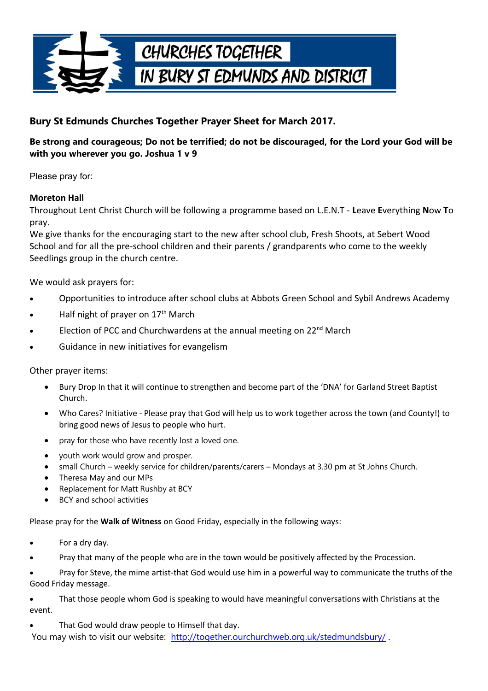

## **Bury St Edmunds Churches Together Prayer Sheet for March 2017.**

## **Be strong and courageous; Do not be terrified; do not be discouraged, for the Lord your God will be with you wherever you go. Joshua 1 v 9**

Please pray for:

## **Moreton Hall**

Throughout Lent Christ Church will be following a programme based on L.E.N.T - **L**eave **E**verything **N**ow **T**o pray.

We give thanks for the encouraging start to the new after school club, Fresh Shoots, at Sebert Wood School and for all the pre-school children and their parents / grandparents who come to the weekly Seedlings group in the church centre.

We would ask prayers for:

- Opportunities to introduce after school clubs at Abbots Green School and Sybil Andrews Academy
- Half night of prayer on 17<sup>th</sup> March
- Election of PCC and Churchwardens at the annual meeting on 22<sup>nd</sup> March
- Guidance in new initiatives for evangelism

Other prayer items:

- Bury Drop In that it will continue to strengthen and become part of the 'DNA' for Garland Street Baptist Church.
- Who Cares? Initiative Please pray that God will help us to work together across the town (and County!) to bring good news of Jesus to people who hurt.
- pray for those who have recently lost a loved one.
- youth work would grow and prosper.
- small Church weekly service for children/parents/carers Mondays at 3.30 pm at St Johns Church.
- Theresa May and our MPs
- Replacement for Matt Rushby at BCY
- BCY and school activities

Please pray for the **Walk of Witness** on Good Friday, especially in the following ways:

- For a dry day.
- Pray that many of the people who are in the town would be positively affected by the Procession.

 Pray for Steve, the mime artist-that God would use him in a powerful way to communicate the truths of the Good Friday message.

 That those people whom God is speaking to would have meaningful conversations with Christians at the event.

That God would draw people to Himself that day.

You may wish to visit our website: http://together.ourchurchweb.org.uk/stedmundsbury/.